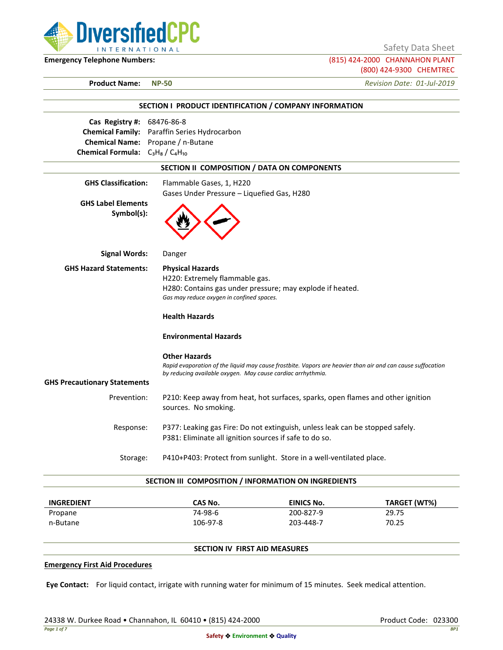

Safety Data Sheet

**Emergency Telephone Numbers:** (815) 424-2000 CHANNAHON PLANT (800) 424-9300 CHEMTREC

**Product Name: NP-50** *Revision Date: 01-Jul-2019*

|                                         | SECTION I PRODUCT IDENTIFICATION / COMPANY INFORMATION                                                                                                                                            |
|-----------------------------------------|---------------------------------------------------------------------------------------------------------------------------------------------------------------------------------------------------|
| Cas Registry #: 68476-86-8              |                                                                                                                                                                                                   |
|                                         | Chemical Family: Paraffin Series Hydrocarbon                                                                                                                                                      |
|                                         | Chemical Name: Propane / n-Butane                                                                                                                                                                 |
| Chemical Formula: $C_3H_8/C_4H_{10}$    |                                                                                                                                                                                                   |
|                                         | SECTION II COMPOSITION / DATA ON COMPONENTS                                                                                                                                                       |
| <b>GHS Classification:</b>              | Flammable Gases, 1, H220                                                                                                                                                                          |
|                                         | Gases Under Pressure - Liquefied Gas, H280                                                                                                                                                        |
| <b>GHS Label Elements</b><br>Symbol(s): |                                                                                                                                                                                                   |
| <b>Signal Words:</b>                    | Danger                                                                                                                                                                                            |
| <b>GHS Hazard Statements:</b>           | <b>Physical Hazards</b>                                                                                                                                                                           |
|                                         | H220: Extremely flammable gas.                                                                                                                                                                    |
|                                         | H280: Contains gas under pressure; may explode if heated.                                                                                                                                         |
|                                         | Gas may reduce oxygen in confined spaces.                                                                                                                                                         |
|                                         | <b>Health Hazards</b>                                                                                                                                                                             |
|                                         | <b>Environmental Hazards</b>                                                                                                                                                                      |
|                                         | <b>Other Hazards</b><br>Rapid evaporation of the liquid may cause frostbite. Vapors are heavier than air and can cause suffocation<br>by reducing available oxygen. May cause cardiac arrhythmia. |
| <b>GHS Precautionary Statements</b>     |                                                                                                                                                                                                   |
| Prevention:                             | P210: Keep away from heat, hot surfaces, sparks, open flames and other ignition<br>sources. No smoking.                                                                                           |
| Response:                               | P377: Leaking gas Fire: Do not extinguish, unless leak can be stopped safely.                                                                                                                     |
|                                         | P381: Eliminate all ignition sources if safe to do so.                                                                                                                                            |
| Storage:                                | P410+P403: Protect from sunlight. Store in a well-ventilated place.                                                                                                                               |
|                                         | SECTION III COMPOSITION / INFORMATION ON INGREDIENTS                                                                                                                                              |

| <b>INGREDIENT</b> | CAS No.  | <b>EINICS No.</b> | TARGET (WT%) |
|-------------------|----------|-------------------|--------------|
| Propane           | 74-98-6  | 200-827-9         | 29.75        |
| n-Butane          | 106-97-8 | 203-448-7         | 70.25        |

# **SECTION IV FIRST AID MEASURES**

### **Emergency First Aid Procedures**

**Eye Contact:** For liquid contact, irrigate with running water for minimum of 15 minutes. Seek medical attention.

24338 W. Durkee Road • Channahon, IL 60410 • (815) 424-2000 Product Code: 023300 Product Code: 023300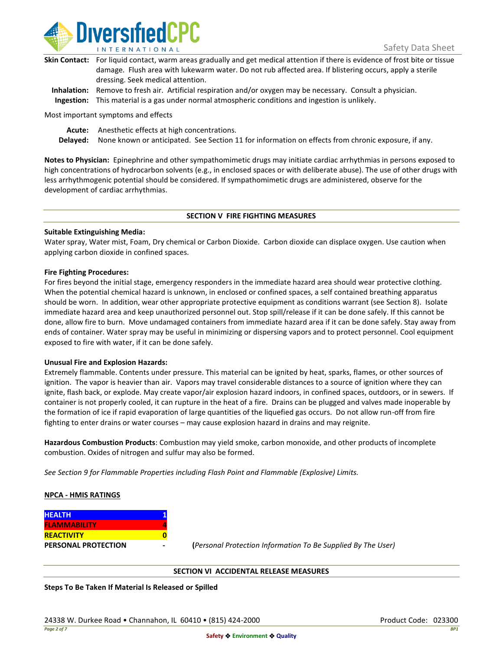

| Skin Contact: For liquid contact, warm areas gradually and get medical attention if there is evidence of frost bite or tissue |
|-------------------------------------------------------------------------------------------------------------------------------|
| damage. Flush area with lukewarm water. Do not rub affected area. If blistering occurs, apply a sterile                       |
| dressing. Seek medical attention.                                                                                             |
|                                                                                                                               |

**Inhalation:** Remove to fresh air. Artificial respiration and/or oxygen may be necessary. Consult a physician. **Ingestion:** This material is a gas under normal atmospheric conditions and ingestion is unlikely.

Most important symptoms and effects

**Acute:** Anesthetic effects at high concentrations.

**Delayed:** None known or anticipated. See Section 11 for information on effects from chronic exposure, if any.

**Notes to Physician:** Epinephrine and other sympathomimetic drugs may initiate cardiac arrhythmias in persons exposed to high concentrations of hydrocarbon solvents (e.g., in enclosed spaces or with deliberate abuse). The use of other drugs with less arrhythmogenic potential should be considered. If sympathomimetic drugs are administered, observe for the development of cardiac arrhythmias.

#### **SECTION V FIRE FIGHTING MEASURES**

### **Suitable Extinguishing Media:**

Water spray, Water mist, Foam, Dry chemical or Carbon Dioxide. Carbon dioxide can displace oxygen. Use caution when applying carbon dioxide in confined spaces.

### **Fire Fighting Procedures:**

For fires beyond the initial stage, emergency responders in the immediate hazard area should wear protective clothing. When the potential chemical hazard is unknown, in enclosed or confined spaces, a self contained breathing apparatus should be worn. In addition, wear other appropriate protective equipment as conditions warrant (see Section 8). Isolate immediate hazard area and keep unauthorized personnel out. Stop spill/release if it can be done safely. If this cannot be done, allow fire to burn. Move undamaged containers from immediate hazard area if it can be done safely. Stay away from ends of container. Water spray may be useful in minimizing or dispersing vapors and to protect personnel. Cool equipment exposed to fire with water, if it can be done safely.

### **Unusual Fire and Explosion Hazards:**

Extremely flammable. Contents under pressure. This material can be ignited by heat, sparks, flames, or other sources of ignition. The vapor is heavier than air. Vapors may travel considerable distances to a source of ignition where they can ignite, flash back, or explode. May create vapor/air explosion hazard indoors, in confined spaces, outdoors, or in sewers. If container is not properly cooled, it can rupture in the heat of a fire. Drains can be plugged and valves made inoperable by the formation of ice if rapid evaporation of large quantities of the liquefied gas occurs. Do not allow run-off from fire fighting to enter drains or water courses – may cause explosion hazard in drains and may reignite.

**Hazardous Combustion Products**: Combustion may yield smoke, carbon monoxide, and other products of incomplete combustion. Oxides of nitrogen and sulfur may also be formed.

*See Section 9 for Flammable Properties including Flash Point and Flammable (Explosive) Limits.*

### **NPCA - HMIS RATINGS**

| <b>HEALTH</b>              |  |
|----------------------------|--|
| <b>FLAMMABILITY</b>        |  |
| <b>REACTIVITY</b>          |  |
| <b>PERSONAL PROTECTION</b> |  |

**PERSONAL PROTECTION - (***Personal Protection Information To Be Supplied By The User)*

### **SECTION VI ACCIDENTAL RELEASE MEASURES**

**Steps To Be Taken If Material Is Released or Spilled**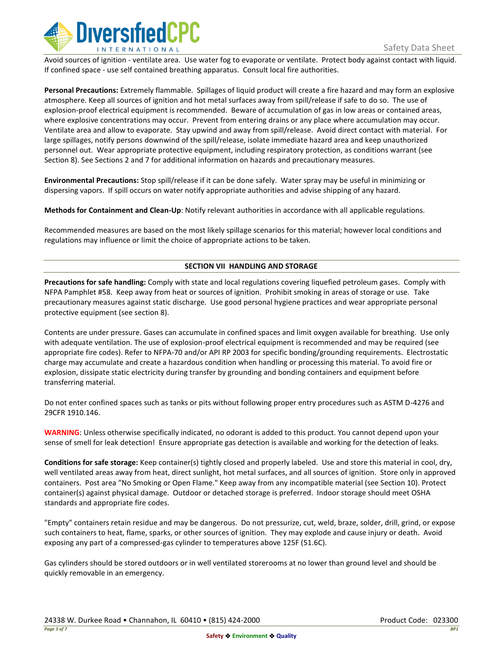

Avoid sources of ignition - ventilate area. Use water fog to evaporate or ventilate. Protect body against contact with liquid. If confined space - use self contained breathing apparatus. Consult local fire authorities.

**Personal Precautions:** Extremely flammable. Spillages of liquid product will create a fire hazard and may form an explosive atmosphere. Keep all sources of ignition and hot metal surfaces away from spill/release if safe to do so. The use of explosion-proof electrical equipment is recommended. Beware of accumulation of gas in low areas or contained areas, where explosive concentrations may occur. Prevent from entering drains or any place where accumulation may occur. Ventilate area and allow to evaporate. Stay upwind and away from spill/release. Avoid direct contact with material. For large spillages, notify persons downwind of the spill/release, isolate immediate hazard area and keep unauthorized personnel out. Wear appropriate protective equipment, including respiratory protection, as conditions warrant (see Section 8). See Sections 2 and 7 for additional information on hazards and precautionary measures.

**Environmental Precautions:** Stop spill/release if it can be done safely. Water spray may be useful in minimizing or dispersing vapors. If spill occurs on water notify appropriate authorities and advise shipping of any hazard.

**Methods for Containment and Clean-Up**: Notify relevant authorities in accordance with all applicable regulations.

Recommended measures are based on the most likely spillage scenarios for this material; however local conditions and regulations may influence or limit the choice of appropriate actions to be taken.

## **SECTION VII HANDLING AND STORAGE**

**Precautions for safe handling:** Comply with state and local regulations covering liquefied petroleum gases. Comply with NFPA Pamphlet #58. Keep away from heat or sources of ignition. Prohibit smoking in areas of storage or use. Take precautionary measures against static discharge. Use good personal hygiene practices and wear appropriate personal protective equipment (see section 8).

Contents are under pressure. Gases can accumulate in confined spaces and limit oxygen available for breathing. Use only with adequate ventilation. The use of explosion-proof electrical equipment is recommended and may be required (see appropriate fire codes). Refer to NFPA-70 and/or API RP 2003 for specific bonding/grounding requirements. Electrostatic charge may accumulate and create a hazardous condition when handling or processing this material. To avoid fire or explosion, dissipate static electricity during transfer by grounding and bonding containers and equipment before transferring material.

Do not enter confined spaces such as tanks or pits without following proper entry procedures such as ASTM D-4276 and 29CFR 1910.146.

**WARNING**: Unless otherwise specifically indicated, no odorant is added to this product. You cannot depend upon your sense of smell for leak detection! Ensure appropriate gas detection is available and working for the detection of leaks.

**Conditions for safe storage:** Keep container(s) tightly closed and properly labeled. Use and store this material in cool, dry, well ventilated areas away from heat, direct sunlight, hot metal surfaces, and all sources of ignition. Store only in approved containers. Post area "No Smoking or Open Flame." Keep away from any incompatible material (see Section 10). Protect container(s) against physical damage. Outdoor or detached storage is preferred. Indoor storage should meet OSHA standards and appropriate fire codes.

"Empty" containers retain residue and may be dangerous. Do not pressurize, cut, weld, braze, solder, drill, grind, or expose such containers to heat, flame, sparks, or other sources of ignition. They may explode and cause injury or death. Avoid exposing any part of a compressed-gas cylinder to temperatures above 125F (51.6C).

Gas cylinders should be stored outdoors or in well ventilated storerooms at no lower than ground level and should be quickly removable in an emergency.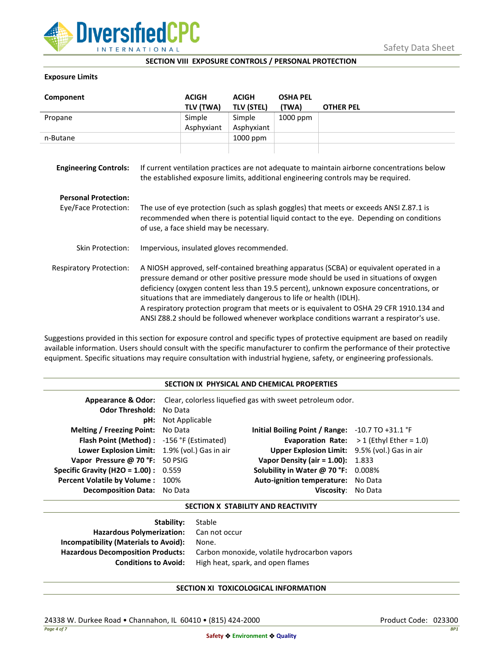

### **SECTION VIII EXPOSURE CONTROLS / PERSONAL PROTECTION**

### **Exposure Limits**

| Component                                           |                                                                                                                                                                                                                                                                                                                                                                                                                                                                                                                                            | <b>ACIGH</b><br>TLV (TWA) | <b>ACIGH</b><br><b>TLV (STEL)</b> | <b>OSHA PEL</b><br>(TWA) | <b>OTHER PEL</b> |
|-----------------------------------------------------|--------------------------------------------------------------------------------------------------------------------------------------------------------------------------------------------------------------------------------------------------------------------------------------------------------------------------------------------------------------------------------------------------------------------------------------------------------------------------------------------------------------------------------------------|---------------------------|-----------------------------------|--------------------------|------------------|
| Propane                                             |                                                                                                                                                                                                                                                                                                                                                                                                                                                                                                                                            | Simple                    | Simple                            | 1000 ppm                 |                  |
|                                                     |                                                                                                                                                                                                                                                                                                                                                                                                                                                                                                                                            | Asphyxiant                | Asphyxiant                        |                          |                  |
| n-Butane                                            |                                                                                                                                                                                                                                                                                                                                                                                                                                                                                                                                            |                           | 1000 ppm                          |                          |                  |
| <b>Engineering Controls:</b>                        | If current ventilation practices are not adequate to maintain airborne concentrations below<br>the established exposure limits, additional engineering controls may be required.                                                                                                                                                                                                                                                                                                                                                           |                           |                                   |                          |                  |
| <b>Personal Protection:</b><br>Eye/Face Protection: | The use of eye protection (such as splash goggles) that meets or exceeds ANSI Z.87.1 is<br>recommended when there is potential liquid contact to the eye. Depending on conditions<br>of use, a face shield may be necessary.                                                                                                                                                                                                                                                                                                               |                           |                                   |                          |                  |
| Skin Protection:                                    | Impervious, insulated gloves recommended.                                                                                                                                                                                                                                                                                                                                                                                                                                                                                                  |                           |                                   |                          |                  |
| <b>Respiratory Protection:</b>                      | A NIOSH approved, self-contained breathing apparatus (SCBA) or equivalent operated in a<br>pressure demand or other positive pressure mode should be used in situations of oxygen<br>deficiency (oxygen content less than 19.5 percent), unknown exposure concentrations, or<br>situations that are immediately dangerous to life or health (IDLH).<br>A respiratory protection program that meets or is equivalent to OSHA 29 CFR 1910.134 and<br>ANSI Z88.2 should be followed whenever workplace conditions warrant a respirator's use. |                           |                                   |                          |                  |

Suggestions provided in this section for exposure control and specific types of protective equipment are based on readily available information. Users should consult with the specific manufacturer to confirm the performance of their protective equipment. Specific situations may require consultation with industrial hygiene, safety, or engineering professionals.

### **SECTION IX PHYSICAL AND CHEMICAL PROPERTIES**

| <b>Odor Threshold: No Data</b>                | <b>pH:</b> Not Applicable | <b>Appearance &amp; Odor:</b> Clear, colorless liquefied gas with sweet petroleum odor. |                                                   |
|-----------------------------------------------|---------------------------|-----------------------------------------------------------------------------------------|---------------------------------------------------|
| <b>Melting / Freezing Point:</b> No Data      |                           | Initial Boiling Point / Range: $-10.7$ TO $+31.1$ °F                                    |                                                   |
| Flash Point (Method): -156 °F (Estimated)     |                           |                                                                                         | <b>Evaporation Rate:</b> $>1$ (Ethyl Ether = 1.0) |
| Lower Explosion Limit: 1.9% (vol.) Gas in air |                           | Upper Explosion Limit: 9.5% (vol.) Gas in air                                           |                                                   |
| Vapor Pressure @ 70 °F: 50 PSIG               |                           | <b>Vapor Density (air = 1.00):</b> 1.833                                                |                                                   |
| <b>Specific Gravity (H2O = 1.00):</b> $0.559$ |                           | Solubility in Water @ 70 °F: 0.008%                                                     |                                                   |
| Percent Volatile by Volume: 100%              |                           | Auto-ignition temperature: No Data                                                      |                                                   |
| <b>Decomposition Data:</b> No Data            |                           | Viscosity: No Data                                                                      |                                                   |

#### **SECTION X STABILITY AND REACTIVITY**

| <b>Stability:</b> Stable                     |
|----------------------------------------------|
| Hazardous Polymerization: Can not occur      |
| None.                                        |
| Carbon monoxide, volatile hydrocarbon vapors |
| High heat, spark, and open flames            |
|                                              |

# **SECTION XI TOXICOLOGICAL INFORMATION**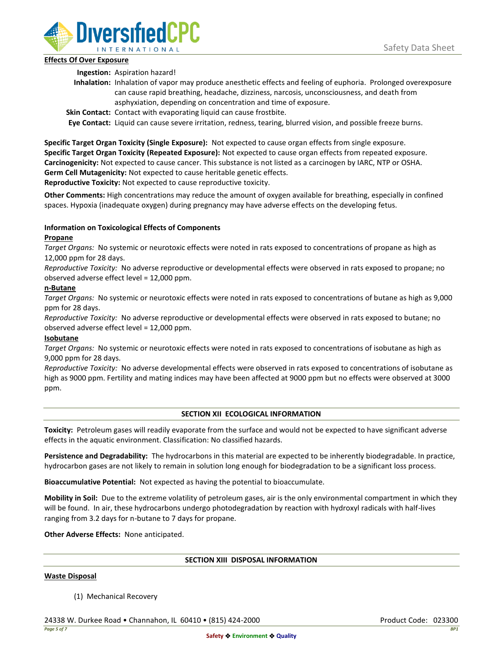

### **Effects Of Over Exposure**

**Ingestion:** Aspiration hazard!

- **Inhalation:** Inhalation of vapor may produce anesthetic effects and feeling of euphoria. Prolonged overexposure can cause rapid breathing, headache, dizziness, narcosis, unconsciousness, and death from asphyxiation, depending on concentration and time of exposure.
- **Skin Contact:** Contact with evaporating liquid can cause frostbite.

**Eye Contact:** Liquid can cause severe irritation, redness, tearing, blurred vision, and possible freeze burns.

**Specific Target Organ Toxicity (Single Exposure):** Not expected to cause organ effects from single exposure. **Specific Target Organ Toxicity (Repeated Exposure):** Not expected to cause organ effects from repeated exposure. **Carcinogenicity:** Not expected to cause cancer. This substance is not listed as a carcinogen by IARC, NTP or OSHA. **Germ Cell Mutagenicity:** Not expected to cause heritable genetic effects.

**Reproductive Toxicity:** Not expected to cause reproductive toxicity.

**Other Comments:** High concentrations may reduce the amount of oxygen available for breathing, especially in confined spaces. Hypoxia (inadequate oxygen) during pregnancy may have adverse effects on the developing fetus.

# **Information on Toxicological Effects of Components**

## **Propane**

*Target Organs:* No systemic or neurotoxic effects were noted in rats exposed to concentrations of propane as high as 12,000 ppm for 28 days.

*Reproductive Toxicity:* No adverse reproductive or developmental effects were observed in rats exposed to propane; no observed adverse effect level = 12,000 ppm.

## **n-Butane**

*Target Organs:* No systemic or neurotoxic effects were noted in rats exposed to concentrations of butane as high as 9,000 ppm for 28 days.

*Reproductive Toxicity:* No adverse reproductive or developmental effects were observed in rats exposed to butane; no observed adverse effect level = 12,000 ppm.

# **Isobutane**

*Target Organs:* No systemic or neurotoxic effects were noted in rats exposed to concentrations of isobutane as high as 9,000 ppm for 28 days.

*Reproductive Toxicity:* No adverse developmental effects were observed in rats exposed to concentrations of isobutane as high as 9000 ppm. Fertility and mating indices may have been affected at 9000 ppm but no effects were observed at 3000 ppm.

# **SECTION XII ECOLOGICAL INFORMATION**

**Toxicity:** Petroleum gases will readily evaporate from the surface and would not be expected to have significant adverse effects in the aquatic environment. Classification: No classified hazards.

**Persistence and Degradability:** The hydrocarbons in this material are expected to be inherently biodegradable. In practice, hydrocarbon gases are not likely to remain in solution long enough for biodegradation to be a significant loss process.

**Bioaccumulative Potential:** Not expected as having the potential to bioaccumulate.

**Mobility in Soil:** Due to the extreme volatility of petroleum gases, air is the only environmental compartment in which they will be found. In air, these hydrocarbons undergo photodegradation by reaction with hydroxyl radicals with half-lives ranging from 3.2 days for n-butane to 7 days for propane.

**Other Adverse Effects:** None anticipated.

### **SECTION XIII DISPOSAL INFORMATION**

### **Waste Disposal**

(1) Mechanical Recovery

24338 W. Durkee Road • Channahon, IL 60410 • (815) 424-2000 Product Code: 023300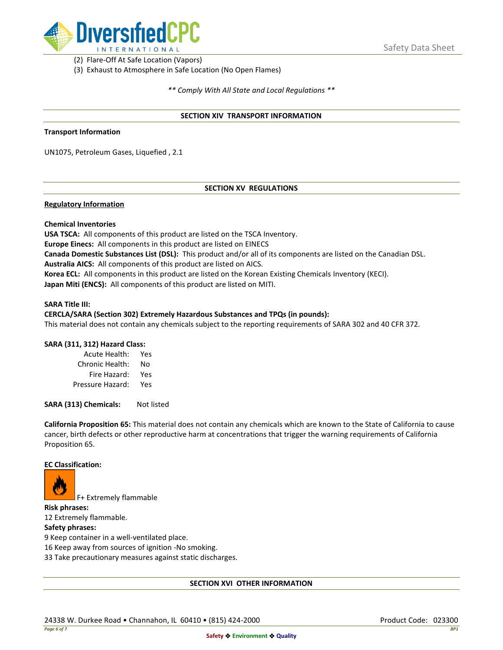

(2) Flare-Off At Safe Location (Vapors)

(3) Exhaust to Atmosphere in Safe Location (No Open Flames)

*\*\* Comply With All State and Local Regulations \*\**

### **SECTION XIV TRANSPORT INFORMATION**

#### **Transport Information**

UN1075, Petroleum Gases, Liquefied , 2.1

## **SECTION XV REGULATIONS**

### **Regulatory Information**

### **Chemical Inventories**

**USA TSCA:** All components of this product are listed on the TSCA Inventory. **Europe Einecs:** All components in this product are listed on EINECS **Canada Domestic Substances List (DSL):** This product and/or all of its components are listed on the Canadian DSL. **Australia AICS:** All components of this product are listed on AICS. **Korea ECL:** All components in this product are listed on the Korean Existing Chemicals Inventory (KECI). **Japan Miti (ENCS):** All components of this product are listed on MITI.

#### **SARA Title III:**

### **CERCLA/SARA (Section 302) Extremely Hazardous Substances and TPQs (in pounds):**

This material does not contain any chemicals subject to the reporting requirements of SARA 302 and 40 CFR 372.

### **SARA (311, 312) Hazard Class:**

| Acute Health:    | Yes |
|------------------|-----|
| Chronic Health:  | No  |
| Fire Hazard:     | Yes |
| Pressure Hazard: | Yes |

**SARA (313) Chemicals:** Not listed

**California Proposition 65:** This material does not contain any chemicals which are known to the State of California to cause cancer, birth defects or other reproductive harm at concentrations that trigger the warning requirements of California Proposition 65.

#### **EC Classification:**



F+ Extremely flammable

**Risk phrases:** 12 Extremely flammable.

# **Safety phrases:**

9 Keep container in a well-ventilated place.

16 Keep away from sources of ignition -No smoking.

33 Take precautionary measures against static discharges.

### **SECTION XVI OTHER INFORMATION**